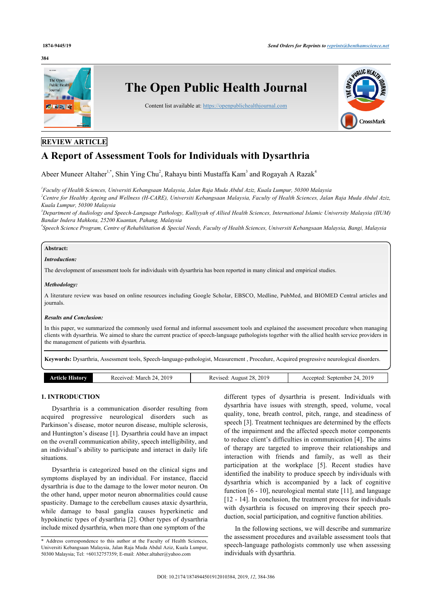### **384**



## **REVIEW ARTICLE**

# **A Report of Assessment Tools for Individuals with Dysarthria**

Abeer Muneer Altaher<sup>[1](#page-0-0)[,\\*](#page-0-1)</sup>, Shin Ying Chu<sup>[2](#page-0-2)</sup>, Rahayu binti Mustaffa Kam<sup>[3](#page-0-3)</sup> and Rogayah A Razak<sup>[4](#page-0-4)</sup>

<span id="page-0-2"></span><span id="page-0-0"></span>*1 Faculty of Health Sciences, Universiti Kebangsaan Malaysia, Jalan Raja Muda Abdul Aziz, Kuala Lumpur, 50300 Malaysia <sup>2</sup>Centre for Healthy Ageing and Wellness (H-CARE), Universiti Kebangsaan Malaysia, Faculty of Health Sciences, Jalan Raja Muda Abdul Aziz, Kuala Lumpur, 50300 Malaysia*

<span id="page-0-3"></span>*<sup>3</sup>Department of Audiology and Speech-Language Pathology, Kulliyyah of Allied Health Sciences, International Islamic University Malaysia (IIUM) Bandar Indera Mahkota, 25200 Kuantan, Pahang, Malaysia*

<span id="page-0-4"></span>*4 Speech Science Program, Centre of Rehabilitation & Special Needs, Faculty of Health Sciences, Universiti Kebangsaan Malaysia, Bangi, Malaysia*

## **Abstract:**

## *Introduction:*

The development of assessment tools for individuals with dysarthria has been reported in many clinical and empirical studies.

#### *Methodology:*

A literature review was based on online resources including Google Scholar, EBSCO, Medline, PubMed, and BIOMED Central articles and journals.

#### *Results and Conclusion:*

In this paper, we summarized the commonly used formal and informal assessment tools and explained the assessment procedure when managing clients with dysarthria. We aimed to share the current practice of speech-language pathologists together with the allied health service providers in the management of patients with dysarthria.

**Keywords:** Dysarthria, Assessment tools, Speech-language-pathologist, Measurement , Procedure, Acquired progressive neurological disorders.

## **1. INTRODUCTION**

Dysarthria is a communication disorder resulting from acquired progressive neurological disorders such as Parkinson's disease, motor neuron disease, multiple sclerosis, and Huntington's disease [[1](#page-2-0)]. Dysarthria could have an impact on the overall communication ability, speech intelligibility, and an individual's ability to participate and interact in daily life situations.

Dysarthria is categorized based on the clinical signs and symptoms displayed by an individual. For instance, flaccid dysarthria is due to the damage to the lower motor neuron. On the other hand, upper motor neuron abnormalities could cause spasticity. Damage to the cerebellum causes ataxic dysarthria, while damage to basal ganglia causes hyperkinetic and hypokinetic types of dysarthria [\[2\]](#page-2-1). Other types of dysarthria include mixed dysarthria, when more than one symptom of the

different types of dysarthria is present. Individuals with dysarthria have issues with strength, speed, volume, vocal quality, tone, breath control, pitch, range, and steadiness of speech [\[3\]](#page-2-2). Treatment techniques are determined by the effects of the impairment and the affected speech motor components to reduce client's difficulties in communication [[4](#page-2-3)]. The aims of therapy are targeted to improve their relationships and interaction with friends and family, as well as their participation at the workplace[[5](#page-2-4)]. Recent studies have identified the inability to produce speech by individuals with dysarthria which is accompanied by a lack of cognitive function [\[6](#page-2-5) - [10\]](#page-2-6), neurological mental state [[11](#page-2-7)], and language [[12](#page-2-8) - [14\]](#page-2-9). In conclusion, the treatment process for individuals with dysarthria is focused on improving their speech production, social participation, and cognitive function abilities.

In the following sections, we will describe and summarize the assessment procedures and available assessment tools that speech-language pathologists commonly use when assessing individuals with dysarthria.

<span id="page-0-1"></span><sup>\*</sup> Address correspondence to this author at the Faculty of Health Sciences, Universiti Kebangsaan Malaysia, Jalan Raja Muda Abdul Aziz, Kuala Lumpur, 50300 Malaysia; Tel: +60132757359; E-mail: [Abber.altaher@yahoo.com](mailto:Abber.altaher@yahoo.com)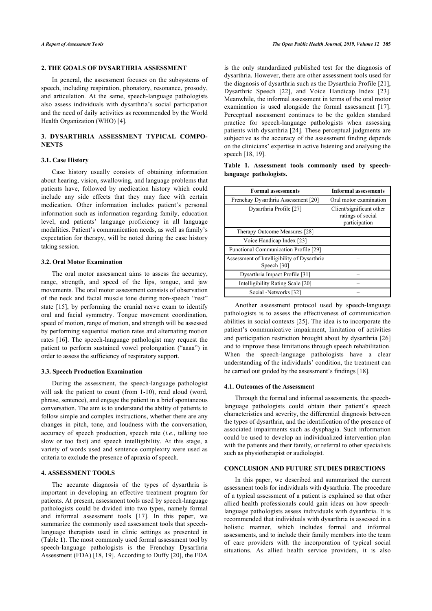## **2. THE GOALS OF DYSARTHRIA ASSESSMENT**

In general, the assessment focuses on the subsystems of speech, including respiration, phonatory, resonance, prosody, and articulation. At the same, speech-language pathologists also assess individuals with dysarthria's social participation and the need of daily activities as recommended by the World Health Organization (WHO) [[4](#page-2-3)].

## **3. DYSARTHRIA ASSESSMENT TYPICAL COMPO-NENTS**

## **3.1. Case History**

Case history usually consists of obtaining information about hearing, vision, swallowing, and language problems that patients have, followed by medication history which could include any side effects that they may face with certain medication. Other information includes patient's personal information such as information regarding family, education level, and patients' language proficiency in all language modalities. Patient's communication needs, as well as family's expectation for therapy, will be noted during the case history taking session.

## **3.2. Oral Motor Examination**

The oral motor assessment aims to assess the accuracy, range, strength, and speed of the lips, tongue, and jaw movements. The oral motor assessment consists of observation of the neck and facial muscle tone during non-speech "rest" state [\[15](#page-2-10)], by performing the cranial nerve exam to identify oral and facial symmetry. Tongue movement coordination, speed of motion, range of motion, and strength will be assessed by performing sequential motion rates and alternating motion rates [[16\]](#page-2-11). The speech-language pathologist may request the patient to perform sustained vowel prolongation ("aaaa") in order to assess the sufficiency of respiratory support.

#### **3.3. Speech Production Examination**

During the assessment, the speech-language pathologist will ask the patient to count (from 1-10), read aloud (word, phrase, sentence), and engage the patient in a brief spontaneous conversation. The aim is to understand the ability of patients to follow simple and complex instructions, whether there are any changes in pitch, tone, and loudness with the conversation, accuracy of speech production, speech rate (*i.e*., talking too slow or too fast) and speech intelligibility. At this stage, a variety of words used and sentence complexity were used as criteria to exclude the presence of apraxia of speech.

## **4. ASSESSMENT TOOLS**

The accurate diagnosis of the types of dysarthria is important in developing an effective treatment program for patients. At present, assessment tools used by speech-language pathologists could be divided into two types, namely formal and informal assessment tools[[17\]](#page-2-12). In this paper, we summarize the commonly used assessment tools that speechlanguage therapists used in clinic settings as presented in (Table **[1](#page--1-0)**). The most commonly used formal assessment tool by speech-language pathologists is the Frenchay Dysarthria Assessment (FDA) [\[18](#page-2-13), [19\]](#page-2-14). According to Duffy [\[20](#page-2-15)], the FDA

is the only standardized published test for the diagnosis of dysarthria. However, there are other assessment tools used for the diagnosis of dysarthria such as the Dysarthria Profile [[21](#page-2-16)], Dysarthric Speech [\[22](#page-2-17)], and Voice Handicap Index[[23](#page-2-18)]. Meanwhile, the informal assessment in terms of the oral motor examination is used alongside the formal assessment[[17](#page-2-12)]. Perceptual assessment continues to be the golden standard practice for speech-language pathologists when assessing patients with dysarthria [[24\]](#page-2-19). These perceptual judgments are subjective as the accuracy of the assessment finding depends on the clinicians' expertise in active listening and analysing the speech [[18,](#page-2-13) [19](#page-2-14)].

|  | Table 1. Assessment tools commonly used by speech- |  |  |  |
|--|----------------------------------------------------|--|--|--|
|  | language pathologists.                             |  |  |  |

| <b>Formal assessments</b>                                    | <b>Informal assessments</b>                                    |
|--------------------------------------------------------------|----------------------------------------------------------------|
| Frenchay Dysarthria Assessment [20]                          | Oral motor examination                                         |
| Dysarthria Profile [27]                                      | Client/significant other<br>ratings of social<br>participation |
| Therapy Outcome Measures [28]                                |                                                                |
| Voice Handicap Index [23]                                    |                                                                |
| Functional Communication Profile [29]                        |                                                                |
| Assessment of Intelligibility of Dysarthric<br>Speech $[30]$ |                                                                |
| Dysarthria Impact Profile [31]                               |                                                                |
| Intelligibility Rating Scale [20]                            |                                                                |
| Social -Networks [32]                                        |                                                                |

Another assessment protocol used by speech-language pathologists is to assess the effectiveness of communication abilities in social contexts [[25\]](#page-2-26). The idea is to incorporate the patient's communicative impairment, limitation of activities and participation restriction brought about by dysarthria [\[26\]](#page-2-27) and to improve these limitations through speech rehabilitation. When the speech-language pathologists have a clear understanding of the individuals' condition, the treatment can be carried out guided by the assessment's findings [\[18](#page-2-13)].

#### **4.1. Outcomes of the Assessment**

Through the formal and informal assessments, the speechlanguage pathologists could obtain their patient's speech characteristics and severity, the differential diagnosis between the types of dysarthria, and the identification of the presence of associated impairments such as dysphagia. Such information could be used to develop an individualized intervention plan with the patients and their family, or referral to other specialists such as physiotherapist or audiologist.

## **CONCLUSION AND FUTURE STUDIES DIRECTIONS**

In this paper, we described and summarized the current assessment tools for individuals with dysarthria. The procedure of a typical assessment of a patient is explained so that other allied health professionals could gain ideas on how speechlanguage pathologists assess individuals with dysarthria. It is recommended that individuals with dysarthria is assessed in a holistic manner, which includes formal and informal assessments, and to include their family members into the team of care providers with the incorporation of typical social situations. As allied health service providers, it is also